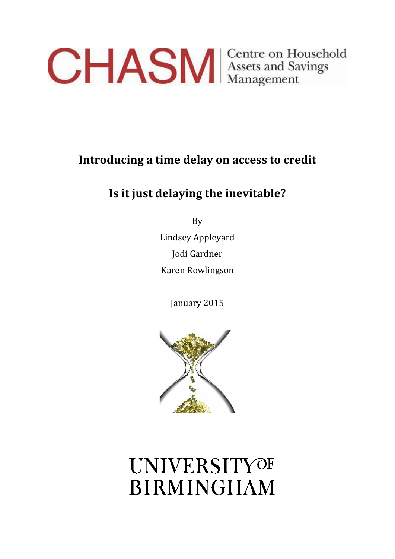

## **Introducing a time delay on access to credit**

## **Is it just delaying the inevitable?**

By Lindsey Appleyard Jodi Gardner Karen Rowlingson

January 2015



# **UNIVERSITYOF BIRMINGHAM**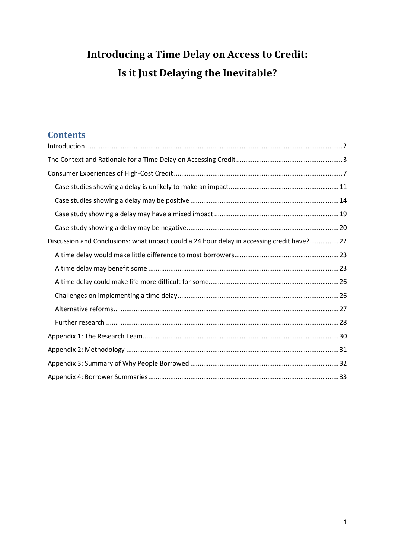## **Introducing a Time Delay on Access to Credit: Is it Just Delaying the Inevitable?**

## **Contents**

| Discussion and Conclusions: what impact could a 24 hour delay in accessing credit have?22 |
|-------------------------------------------------------------------------------------------|
|                                                                                           |
|                                                                                           |
|                                                                                           |
|                                                                                           |
|                                                                                           |
|                                                                                           |
|                                                                                           |
|                                                                                           |
|                                                                                           |
|                                                                                           |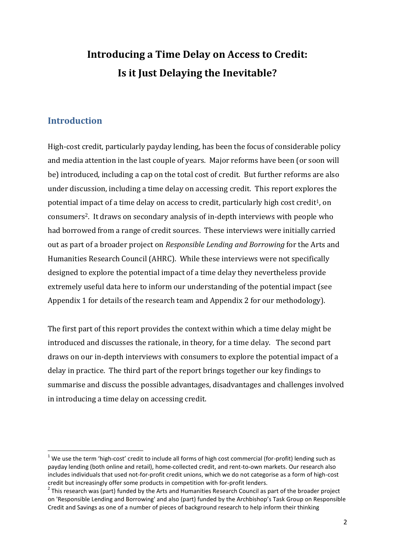## **Introducing a Time Delay on Access to Credit: Is it Just Delaying the Inevitable?**

### <span id="page-2-0"></span>**Introduction**

 $\overline{a}$ 

High-cost credit, particularly payday lending, has been the focus of considerable policy and media attention in the last couple of years. Major reforms have been (or soon will be) introduced, including a cap on the total cost of credit. But further reforms are also under discussion, including a time delay on accessing credit. This report explores the potential impact of a time delay on access to credit, particularly high cost credit<sup>1</sup>, on consumers2. It draws on secondary analysis of in-depth interviews with people who had borrowed from a range of credit sources. These interviews were initially carried out as part of a broader project on *Responsible Lending and Borrowing* for the Arts and Humanities Research Council (AHRC). While these interviews were not specifically designed to explore the potential impact of a time delay they nevertheless provide extremely useful data here to inform our understanding of the potential impact (see Appendix 1 for details of the research team and Appendix 2 for our methodology).

The first part of this report provides the context within which a time delay might be introduced and discusses the rationale, in theory, for a time delay. The second part draws on our in-depth interviews with consumers to explore the potential impact of a delay in practice. The third part of the report brings together our key findings to summarise and discuss the possible advantages, disadvantages and challenges involved in introducing a time delay on accessing credit.

 $1$  We use the term 'high-cost' credit to include all forms of high cost commercial (for-profit) lending such as payday lending (both online and retail), home-collected credit, and rent-to-own markets. Our research also includes individuals that used not-for-profit credit unions, which we do not categorise as a form of high-cost credit but increasingly offer some products in competition with for-profit lenders.

 $2$  This research was (part) funded by the Arts and Humanities Research Council as part of the broader project on 'Responsible Lending and Borrowing' and also (part) funded by the Archbishop's Task Group on Responsible Credit and Savings as one of a number of pieces of background research to help inform their thinking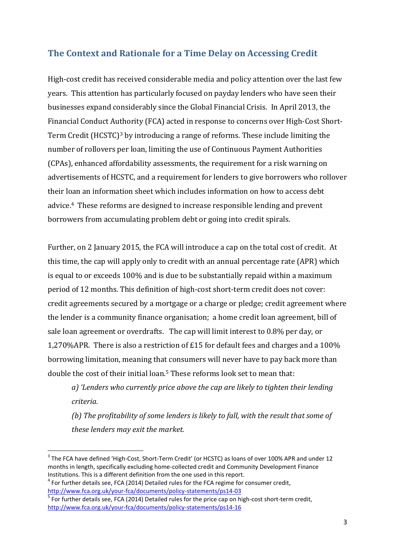## <span id="page-3-0"></span>**The Context and Rationale for a Time Delay on Accessing Credit**

High-cost credit has received considerable media and policy attention over the last few years. This attention has particularly focused on payday lenders who have seen their businesses expand considerably since the Global Financial Crisis. In April 2013, the Financial Conduct Authority (FCA) acted in response to concerns over High-Cost Short-Term Credit (HCSTC)<sup>3</sup> by introducing a range of reforms. These include limiting the number of rollovers per loan, limiting the use of Continuous Payment Authorities (CPAs), enhanced affordability assessments, the requirement for a risk warning on advertisements of HCSTC, and a requirement for lenders to give borrowers who rollover their loan an information sheet which includes information on how to access debt advice.4 These reforms are designed to increase responsible lending and prevent borrowers from accumulating problem debt or going into credit spirals.

Further, on 2 January 2015, the FCA will introduce a cap on the total cost of credit. At this time, the cap will apply only to credit with an annual percentage rate (APR) which is equal to or exceeds 100% and is due to be substantially repaid within a maximum period of 12 months. This definition of high-cost short-term credit does not cover: credit agreements secured by a mortgage or a charge or pledge; credit agreement where the lender is a community finance organisation; a home credit loan agreement, bill of sale loan agreement or overdrafts. The cap will limit interest to 0.8% per day, or 1,270%APR. There is also a restriction of £15 for default fees and charges and a 100% borrowing limitation, meaning that consumers will never have to pay back more than double the cost of their initial loan.<sup>5</sup> These reforms look set to mean that:

*a) 'Lenders who currently price above the cap are likely to tighten their lending criteria.* 

*(b) The profitability of some lenders is likely to fall, with the result that some of these lenders may exit the market.* 

 $\overline{a}$ 

 $3$  The FCA have defined 'High-Cost, Short-Term Credit' (or HCSTC) as loans of over 100% APR and under 12 months in length, specifically excluding home-collected credit and Community Development Finance Institutions. This is a different definition from the one used in this report.

 $<sup>4</sup>$  For further details see, FCA (2014) Detailed rules for the FCA regime for consumer credit,</sup> <http://www.fca.org.uk/your-fca/documents/policy-statements/ps14-03>

<sup>&</sup>lt;sup>5</sup> For further details see, FCA (2014) Detailed rules for the price cap on high-cost short-term credit, <http://www.fca.org.uk/your-fca/documents/policy-statements/ps14-16>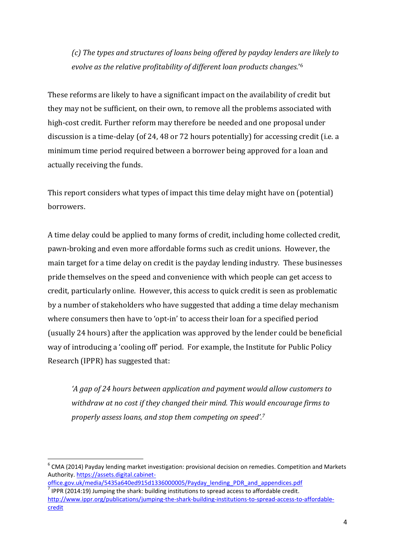*(c) The types and structures of loans being offered by payday lenders are likely to evolve as the relative profitability of different loan products changes.*' 6

These reforms are likely to have a significant impact on the availability of credit but they may not be sufficient, on their own, to remove all the problems associated with high-cost credit. Further reform may therefore be needed and one proposal under discussion is a time-delay (of 24, 48 or 72 hours potentially) for accessing credit (i.e. a minimum time period required between a borrower being approved for a loan and actually receiving the funds.

This report considers what types of impact this time delay might have on (potential) borrowers.

A time delay could be applied to many forms of credit, including home collected credit, pawn-broking and even more affordable forms such as credit unions. However, the main target for a time delay on credit is the payday lending industry. These businesses pride themselves on the speed and convenience with which people can get access to credit, particularly online. However, this access to quick credit is seen as problematic by a number of stakeholders who have suggested that adding a time delay mechanism where consumers then have to 'opt-in' to access their loan for a specified period (usually 24 hours) after the application was approved by the lender could be beneficial way of introducing a 'cooling off' period. For example, the Institute for Public Policy Research (IPPR) has suggested that:

*'A gap of 24 hours between application and payment would allow customers to withdraw at no cost if they changed their mind. This would encourage firms to properly assess loans, and stop them competing on speed'. 7*

**.** 

 $^6$  CMA (2014) Payday lending market investigation: provisional decision on remedies. Competition and Markets Authority[. https://assets.digital.cabinet-](https://assets.digital.cabinet-office.gov.uk/media/5435a640ed915d1336000005/Payday_lending_PDR_and_appendices.pdf)

[office.gov.uk/media/5435a640ed915d1336000005/Payday\\_lending\\_PDR\\_and\\_appendices.pdf](https://assets.digital.cabinet-office.gov.uk/media/5435a640ed915d1336000005/Payday_lending_PDR_and_appendices.pdf)

 $<sup>7</sup>$  IPPR (2014:19) Jumping the shark: building institutions to spread access to affordable credit.</sup> [http://www.ippr.org/publications/jumping-the-shark-building-institutions-to-spread-access-to-affordable](http://www.ippr.org/publications/jumping-the-shark-building-institutions-to-spread-access-to-affordable-credit)[credit](http://www.ippr.org/publications/jumping-the-shark-building-institutions-to-spread-access-to-affordable-credit)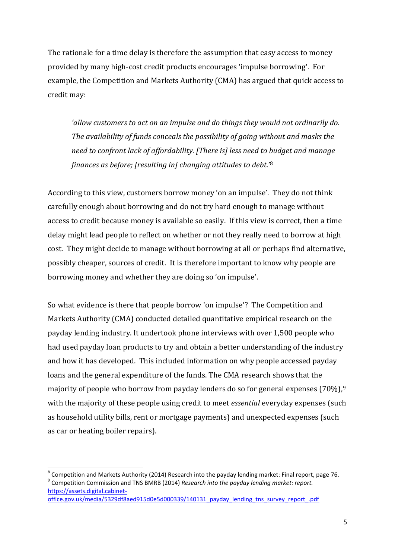The rationale for a time delay is therefore the assumption that easy access to money provided by many high-cost credit products encourages 'impulse borrowing'. For example, the Competition and Markets Authority (CMA) has argued that quick access to credit may:

*'allow customers to act on an impulse and do things they would not ordinarily do. The availability of funds conceals the possibility of going without and masks the need to confront lack of affordability. [There is] less need to budget and manage finances as before; [resulting in] changing attitudes to debt*.'<sup>8</sup>

According to this view, customers borrow money 'on an impulse'. They do not think carefully enough about borrowing and do not try hard enough to manage without access to credit because money is available so easily. If this view is correct, then a time delay might lead people to reflect on whether or not they really need to borrow at high cost. They might decide to manage without borrowing at all or perhaps find alternative, possibly cheaper, sources of credit. It is therefore important to know why people are borrowing money and whether they are doing so 'on impulse'.

So what evidence is there that people borrow 'on impulse'? The Competition and Markets Authority (CMA) conducted detailed quantitative empirical research on the payday lending industry. It undertook phone interviews with over 1,500 people who had used payday loan products to try and obtain a better understanding of the industry and how it has developed. This included information on why people accessed payday loans and the general expenditure of the funds. The CMA research shows that the majority of people who borrow from payday lenders do so for general expenses (70%),<sup>9</sup> with the majority of these people using credit to meet *essential* everyday expenses (such as household utility bills, rent or mortgage payments) and unexpected expenses (such as car or heating boiler repairs).

 $^8$  Competition and Markets Authority (2014) Research into the payday lending market: Final report, page 76. 9 Competition Commission and TNS BMRB (2014) *Research into the payday lending market: report.*  [https://assets.digital.cabinet](https://assets.digital.cabinet-office.gov.uk/media/5329df8aed915d0e5d000339/140131_payday_lending_tns_survey_report_.pdf)[office.gov.uk/media/5329df8aed915d0e5d000339/140131\\_payday\\_lending\\_tns\\_survey\\_report\\_.pdf](https://assets.digital.cabinet-office.gov.uk/media/5329df8aed915d0e5d000339/140131_payday_lending_tns_survey_report_.pdf)

 $\overline{a}$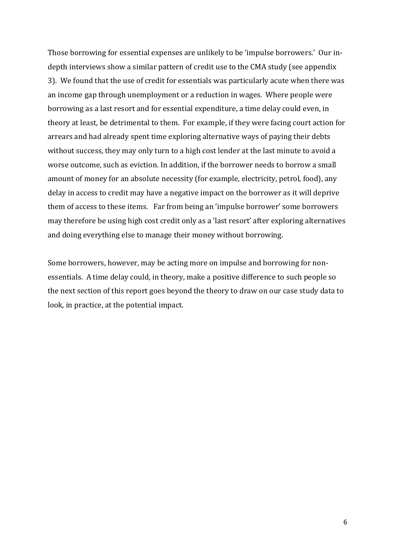Those borrowing for essential expenses are unlikely to be 'impulse borrowers.' Our indepth interviews show a similar pattern of credit use to the CMA study (see appendix 3). We found that the use of credit for essentials was particularly acute when there was an income gap through unemployment or a reduction in wages. Where people were borrowing as a last resort and for essential expenditure, a time delay could even, in theory at least, be detrimental to them. For example, if they were facing court action for arrears and had already spent time exploring alternative ways of paying their debts without success, they may only turn to a high cost lender at the last minute to avoid a worse outcome, such as eviction. In addition, if the borrower needs to borrow a small amount of money for an absolute necessity (for example, electricity, petrol, food), any delay in access to credit may have a negative impact on the borrower as it will deprive them of access to these items. Far from being an 'impulse borrower' some borrowers may therefore be using high cost credit only as a 'last resort' after exploring alternatives and doing everything else to manage their money without borrowing.

Some borrowers, however, may be acting more on impulse and borrowing for nonessentials. A time delay could, in theory, make a positive difference to such people so the next section of this report goes beyond the theory to draw on our case study data to look, in practice, at the potential impact.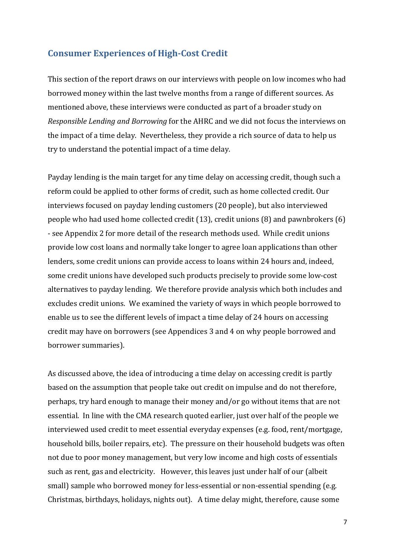### <span id="page-7-0"></span>**Consumer Experiences of High-Cost Credit**

This section of the report draws on our interviews with people on low incomes who had borrowed money within the last twelve months from a range of different sources. As mentioned above, these interviews were conducted as part of a broader study on *Responsible Lending and Borrowing* for the AHRC and we did not focus the interviews on the impact of a time delay. Nevertheless, they provide a rich source of data to help us try to understand the potential impact of a time delay.

Payday lending is the main target for any time delay on accessing credit, though such a reform could be applied to other forms of credit, such as home collected credit. Our interviews focused on payday lending customers (20 people), but also interviewed people who had used home collected credit (13), credit unions (8) and pawnbrokers (6) - see Appendix 2 for more detail of the research methods used. While credit unions provide low cost loans and normally take longer to agree loan applications than other lenders, some credit unions can provide access to loans within 24 hours and, indeed, some credit unions have developed such products precisely to provide some low-cost alternatives to payday lending. We therefore provide analysis which both includes and excludes credit unions. We examined the variety of ways in which people borrowed to enable us to see the different levels of impact a time delay of 24 hours on accessing credit may have on borrowers (see Appendices 3 and 4 on why people borrowed and borrower summaries).

As discussed above, the idea of introducing a time delay on accessing credit is partly based on the assumption that people take out credit on impulse and do not therefore, perhaps, try hard enough to manage their money and/or go without items that are not essential. In line with the CMA research quoted earlier, just over half of the people we interviewed used credit to meet essential everyday expenses (e.g. food, rent/mortgage, household bills, boiler repairs, etc). The pressure on their household budgets was often not due to poor money management, but very low income and high costs of essentials such as rent, gas and electricity. However, this leaves just under half of our (albeit small) sample who borrowed money for less-essential or non-essential spending (e.g. Christmas, birthdays, holidays, nights out). A time delay might, therefore, cause some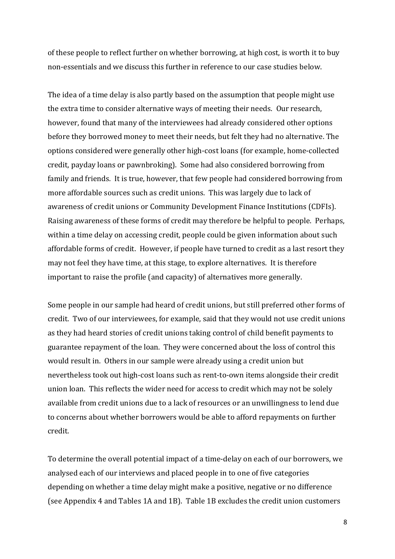of these people to reflect further on whether borrowing, at high cost, is worth it to buy non-essentials and we discuss this further in reference to our case studies below.

The idea of a time delay is also partly based on the assumption that people might use the extra time to consider alternative ways of meeting their needs. Our research, however, found that many of the interviewees had already considered other options before they borrowed money to meet their needs, but felt they had no alternative. The options considered were generally other high-cost loans (for example, home-collected credit, payday loans or pawnbroking). Some had also considered borrowing from family and friends. It is true, however, that few people had considered borrowing from more affordable sources such as credit unions. This was largely due to lack of awareness of credit unions or Community Development Finance Institutions (CDFIs). Raising awareness of these forms of credit may therefore be helpful to people. Perhaps, within a time delay on accessing credit, people could be given information about such affordable forms of credit. However, if people have turned to credit as a last resort they may not feel they have time, at this stage, to explore alternatives. It is therefore important to raise the profile (and capacity) of alternatives more generally.

Some people in our sample had heard of credit unions, but still preferred other forms of credit. Two of our interviewees, for example, said that they would not use credit unions as they had heard stories of credit unions taking control of child benefit payments to guarantee repayment of the loan. They were concerned about the loss of control this would result in. Others in our sample were already using a credit union but nevertheless took out high-cost loans such as rent-to-own items alongside their credit union loan. This reflects the wider need for access to credit which may not be solely available from credit unions due to a lack of resources or an unwillingness to lend due to concerns about whether borrowers would be able to afford repayments on further credit.

To determine the overall potential impact of a time-delay on each of our borrowers, we analysed each of our interviews and placed people in to one of five categories depending on whether a time delay might make a positive, negative or no difference (see Appendix 4 and Tables 1A and 1B). Table 1B excludes the credit union customers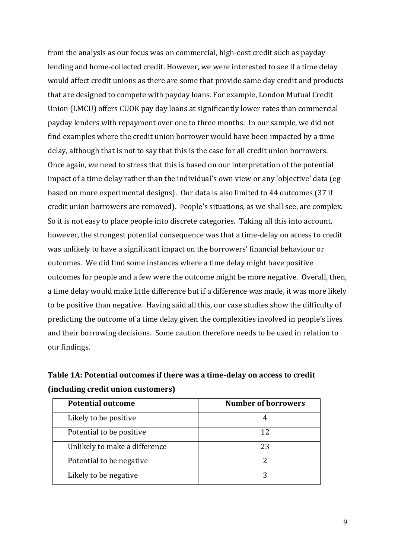from the analysis as our focus was on commercial, high-cost credit such as payday lending and home-collected credit. However, we were interested to see if a time delay would affect credit unions as there are some that provide same day credit and products that are designed to compete with payday loans. For example, London Mutual Credit Union (LMCU) offers CUOK pay day loans at significantly lower rates than commercial payday lenders with repayment over one to three months. In our sample, we did not find examples where the credit union borrower would have been impacted by a time delay, although that is not to say that this is the case for all credit union borrowers. Once again, we need to stress that this is based on our interpretation of the potential impact of a time delay rather than the individual's own view or any 'objective' data (eg based on more experimental designs). Our data is also limited to 44 outcomes (37 if credit union borrowers are removed). People's situations, as we shall see, are complex. So it is not easy to place people into discrete categories. Taking all this into account, however, the strongest potential consequence was that a time-delay on access to credit was unlikely to have a significant impact on the borrowers' financial behaviour or outcomes. We did find some instances where a time delay might have positive outcomes for people and a few were the outcome might be more negative. Overall, then, a time delay would make little difference but if a difference was made, it was more likely to be positive than negative. Having said all this, our case studies show the difficulty of predicting the outcome of a time delay given the complexities involved in people's lives and their borrowing decisions. Some caution therefore needs to be used in relation to our findings.

|                                    | Table 1A: Potential outcomes if there was a time-delay on access to credit |  |
|------------------------------------|----------------------------------------------------------------------------|--|
| (including credit union customers) |                                                                            |  |

| Detential entrence                                                          | $N_{\text{cross}}$ as afterwards |
|-----------------------------------------------------------------------------|----------------------------------|
| (including credit union customers)                                          |                                  |
| Table IA. I otential outcomes if there was a time uclay on access to create |                                  |

| <b>Potential outcome</b>      | <b>Number of borrowers</b> |
|-------------------------------|----------------------------|
| Likely to be positive         |                            |
| Potential to be positive      | 12                         |
| Unlikely to make a difference | 23                         |
| Potential to be negative      |                            |
| Likely to be negative         |                            |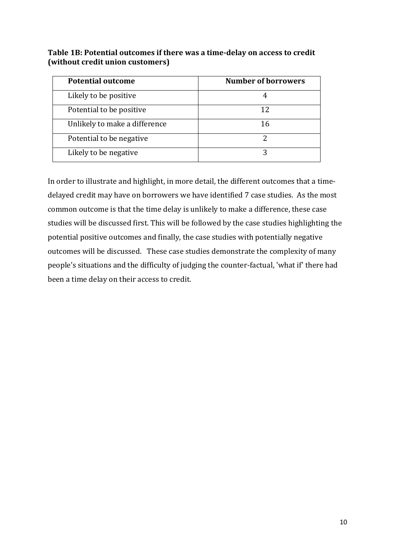**Table 1B: Potential outcomes if there was a time-delay on access to credit (without credit union customers)**

| <b>Potential outcome</b>      | <b>Number of borrowers</b> |
|-------------------------------|----------------------------|
| Likely to be positive         |                            |
| Potential to be positive      | 12                         |
| Unlikely to make a difference | 16                         |
| Potential to be negative      |                            |
| Likely to be negative         |                            |

In order to illustrate and highlight, in more detail, the different outcomes that a timedelayed credit may have on borrowers we have identified 7 case studies. As the most common outcome is that the time delay is unlikely to make a difference, these case studies will be discussed first. This will be followed by the case studies highlighting the potential positive outcomes and finally, the case studies with potentially negative outcomes will be discussed. These case studies demonstrate the complexity of many people's situations and the difficulty of judging the counter-factual, 'what if' there had been a time delay on their access to credit.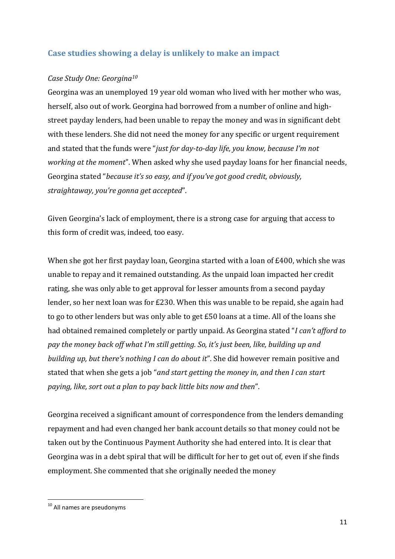### <span id="page-11-0"></span>**Case studies showing a delay is unlikely to make an impact**

#### *Case Study One: Georgina<sup>10</sup>*

Georgina was an unemployed 19 year old woman who lived with her mother who was, herself, also out of work. Georgina had borrowed from a number of online and highstreet payday lenders, had been unable to repay the money and was in significant debt with these lenders. She did not need the money for any specific or urgent requirement and stated that the funds were "*just for day-to-day life, you know, because I'm not working at the moment*". When asked why she used payday loans for her financial needs, Georgina stated "*because it's so easy, and if you've got good credit, obviously, straightaway, you're gonna get accepted*".

Given Georgina's lack of employment, there is a strong case for arguing that access to this form of credit was, indeed, too easy.

When she got her first payday loan, Georgina started with a loan of £400, which she was unable to repay and it remained outstanding. As the unpaid loan impacted her credit rating, she was only able to get approval for lesser amounts from a second payday lender, so her next loan was for £230. When this was unable to be repaid, she again had to go to other lenders but was only able to get £50 loans at a time. All of the loans she had obtained remained completely or partly unpaid. As Georgina stated "*I can't afford to pay the money back off what I'm still getting. So, it's just been, like, building up and building up, but there's nothing I can do about it*". She did however remain positive and stated that when she gets a job "*and start getting the money in, and then I can start paying, like, sort out a plan to pay back little bits now and then*".

Georgina received a significant amount of correspondence from the lenders demanding repayment and had even changed her bank account details so that money could not be taken out by the Continuous Payment Authority she had entered into. It is clear that Georgina was in a debt spiral that will be difficult for her to get out of, even if she finds employment. She commented that she originally needed the money

**.** 

<sup>&</sup>lt;sup>10</sup> All names are pseudonyms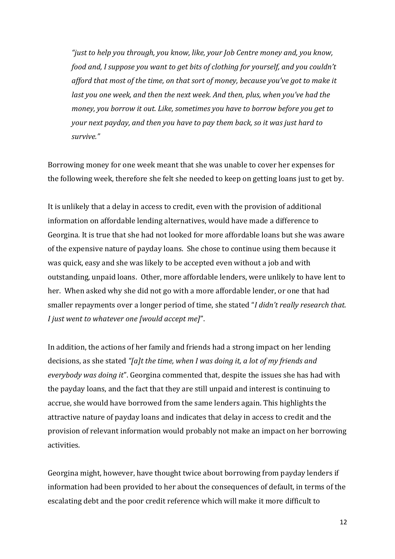*"just to help you through, you know, like, your Job Centre money and, you know, food and, I suppose you want to get bits of clothing for yourself, and you couldn't afford that most of the time, on that sort of money, because you've got to make it last you one week, and then the next week. And then, plus, when you've had the money, you borrow it out. Like, sometimes you have to borrow before you get to your next payday, and then you have to pay them back, so it was just hard to survive."*

Borrowing money for one week meant that she was unable to cover her expenses for the following week, therefore she felt she needed to keep on getting loans just to get by.

It is unlikely that a delay in access to credit, even with the provision of additional information on affordable lending alternatives, would have made a difference to Georgina. It is true that she had not looked for more affordable loans but she was aware of the expensive nature of payday loans. She chose to continue using them because it was quick, easy and she was likely to be accepted even without a job and with outstanding, unpaid loans. Other, more affordable lenders, were unlikely to have lent to her. When asked why she did not go with a more affordable lender, or one that had smaller repayments over a longer period of time, she stated "*I didn't really research that. I just went to whatever one [would accept me]*".

In addition, the actions of her family and friends had a strong impact on her lending decisions, as she stated *"[a]t the time, when I was doing it, a lot of my friends and everybody was doing it*". Georgina commented that, despite the issues she has had with the payday loans, and the fact that they are still unpaid and interest is continuing to accrue, she would have borrowed from the same lenders again. This highlights the attractive nature of payday loans and indicates that delay in access to credit and the provision of relevant information would probably not make an impact on her borrowing activities.

Georgina might, however, have thought twice about borrowing from payday lenders if information had been provided to her about the consequences of default, in terms of the escalating debt and the poor credit reference which will make it more difficult to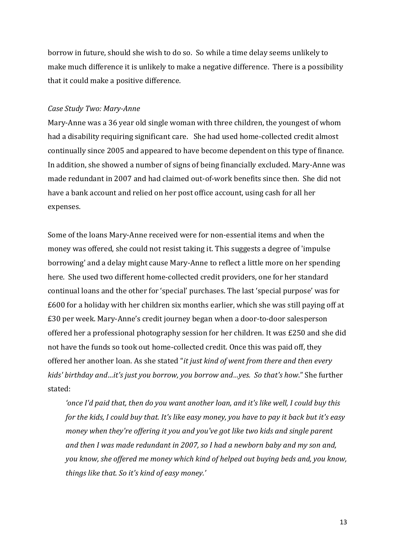borrow in future, should she wish to do so. So while a time delay seems unlikely to make much difference it is unlikely to make a negative difference. There is a possibility that it could make a positive difference.

#### *Case Study Two: Mary-Anne*

Mary-Anne was a 36 year old single woman with three children, the youngest of whom had a disability requiring significant care. She had used home-collected credit almost continually since 2005 and appeared to have become dependent on this type of finance. In addition, she showed a number of signs of being financially excluded. Mary-Anne was made redundant in 2007 and had claimed out-of-work benefits since then. She did not have a bank account and relied on her post office account, using cash for all her expenses.

Some of the loans Mary-Anne received were for non-essential items and when the money was offered, she could not resist taking it. This suggests a degree of 'impulse borrowing' and a delay might cause Mary-Anne to reflect a little more on her spending here. She used two different home-collected credit providers, one for her standard continual loans and the other for 'special' purchases. The last 'special purpose' was for £600 for a holiday with her children six months earlier, which she was still paying off at £30 per week. Mary-Anne's credit journey began when a door-to-door salesperson offered her a professional photography session for her children. It was £250 and she did not have the funds so took out home-collected credit. Once this was paid off, they offered her another loan. As she stated "*it just kind of went from there and then every kids' birthday and…it's just you borrow, you borrow and…yes. So that's how*." She further stated:

*'once I'd paid that, then do you want another loan, and it's like well, I could buy this for the kids, I could buy that. It's like easy money, you have to pay it back but it's easy money when they're offering it you and you've got like two kids and single parent and then I was made redundant in 2007, so I had a newborn baby and my son and, you know, she offered me money which kind of helped out buying beds and, you know, things like that. So it's kind of easy money.'*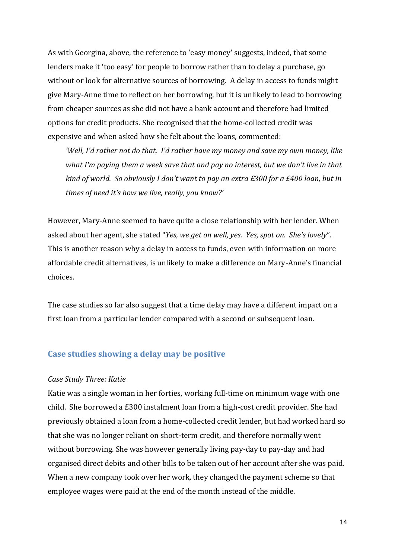As with Georgina, above, the reference to 'easy money' suggests, indeed, that some lenders make it 'too easy' for people to borrow rather than to delay a purchase, go without or look for alternative sources of borrowing. A delay in access to funds might give Mary-Anne time to reflect on her borrowing, but it is unlikely to lead to borrowing from cheaper sources as she did not have a bank account and therefore had limited options for credit products. She recognised that the home-collected credit was expensive and when asked how she felt about the loans, commented:

*'Well, I'd rather not do that. I'd rather have my money and save my own money, like what I'm paying them a week save that and pay no interest, but we don't live in that kind of world. So obviously I don't want to pay an extra £300 for a £400 loan, but in times of need it's how we live, really, you know?'*

However, Mary-Anne seemed to have quite a close relationship with her lender. When asked about her agent, she stated "*Yes, we get on well, yes. Yes, spot on. She's lovely*". This is another reason why a delay in access to funds, even with information on more affordable credit alternatives, is unlikely to make a difference on Mary-Anne's financial choices.

The case studies so far also suggest that a time delay may have a different impact on a first loan from a particular lender compared with a second or subsequent loan.

#### <span id="page-14-0"></span>**Case studies showing a delay may be positive**

#### *Case Study Three: Katie*

Katie was a single woman in her forties, working full-time on minimum wage with one child. She borrowed a £300 instalment loan from a high-cost credit provider. She had previously obtained a loan from a home-collected credit lender, but had worked hard so that she was no longer reliant on short-term credit, and therefore normally went without borrowing. She was however generally living pay-day to pay-day and had organised direct debits and other bills to be taken out of her account after she was paid. When a new company took over her work, they changed the payment scheme so that employee wages were paid at the end of the month instead of the middle.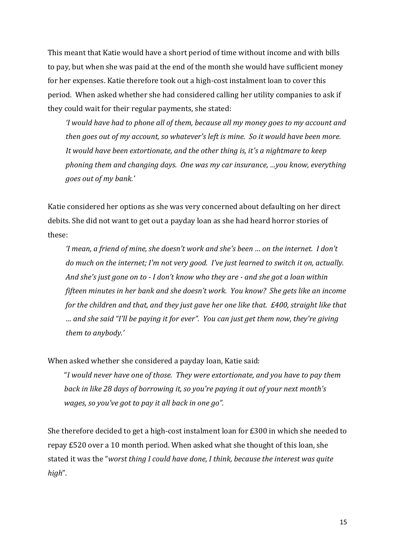This meant that Katie would have a short period of time without income and with bills to pay, but when she was paid at the end of the month she would have sufficient money for her expenses. Katie therefore took out a high-cost instalment loan to cover this period. When asked whether she had considered calling her utility companies to ask if they could wait for their regular payments, she stated:

*'I would have had to phone all of them, because all my money goes to my account and then goes out of my account, so whatever's left is mine. So it would have been more. It would have been extortionate, and the other thing is, it's a nightmare to keep phoning them and changing days. One was my car insurance, …you know, everything goes out of my bank.'* 

Katie considered her options as she was very concerned about defaulting on her direct debits. She did not want to get out a payday loan as she had heard horror stories of these:

*'I mean, a friend of mine, she doesn't work and she's been … on the internet. I don't do much on the internet; I'm not very good. I've just learned to switch it on, actually. And she's just gone on to - I don't know who they are - and she got a loan within fifteen minutes in her bank and she doesn't work. You know? She gets like an income for the children and that, and they just gave her one like that. £400, straight like that … and she said "I'll be paying it for ever". You can just get them now, they're giving them to anybody.'*

When asked whether she considered a payday loan, Katie said:

"*I would never have one of those. They were extortionate, and you have to pay them back in like 28 days of borrowing it, so you're paying it out of your next month's wages, so you've got to pay it all back in one go".* 

She therefore decided to get a high-cost instalment loan for £300 in which she needed to repay £520 over a 10 month period. When asked what she thought of this loan, she stated it was the "*worst thing I could have done, I think, because the interest was quite high*".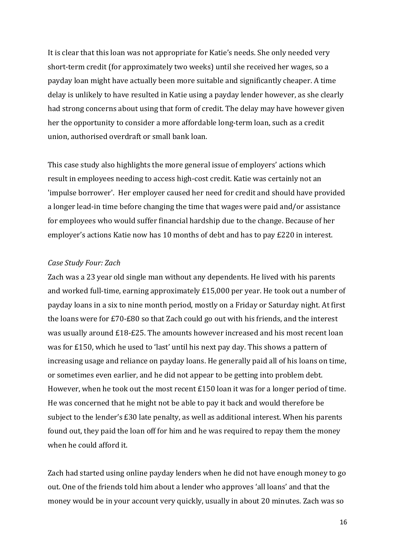It is clear that this loan was not appropriate for Katie's needs. She only needed very short-term credit (for approximately two weeks) until she received her wages, so a payday loan might have actually been more suitable and significantly cheaper. A time delay is unlikely to have resulted in Katie using a payday lender however, as she clearly had strong concerns about using that form of credit. The delay may have however given her the opportunity to consider a more affordable long-term loan, such as a credit union, authorised overdraft or small bank loan.

This case study also highlights the more general issue of employers' actions which result in employees needing to access high-cost credit. Katie was certainly not an 'impulse borrower'. Her employer caused her need for credit and should have provided a longer lead-in time before changing the time that wages were paid and/or assistance for employees who would suffer financial hardship due to the change. Because of her employer's actions Katie now has 10 months of debt and has to pay £220 in interest.

#### *Case Study Four: Zach*

Zach was a 23 year old single man without any dependents. He lived with his parents and worked full-time, earning approximately £15,000 per year. He took out a number of payday loans in a six to nine month period, mostly on a Friday or Saturday night. At first the loans were for £70-£80 so that Zach could go out with his friends, and the interest was usually around £18-£25. The amounts however increased and his most recent loan was for £150, which he used to 'last' until his next pay day. This shows a pattern of increasing usage and reliance on payday loans. He generally paid all of his loans on time, or sometimes even earlier, and he did not appear to be getting into problem debt. However, when he took out the most recent £150 loan it was for a longer period of time. He was concerned that he might not be able to pay it back and would therefore be subject to the lender's £30 late penalty, as well as additional interest. When his parents found out, they paid the loan off for him and he was required to repay them the money when he could afford it.

Zach had started using online payday lenders when he did not have enough money to go out. One of the friends told him about a lender who approves 'all loans' and that the money would be in your account very quickly, usually in about 20 minutes. Zach was so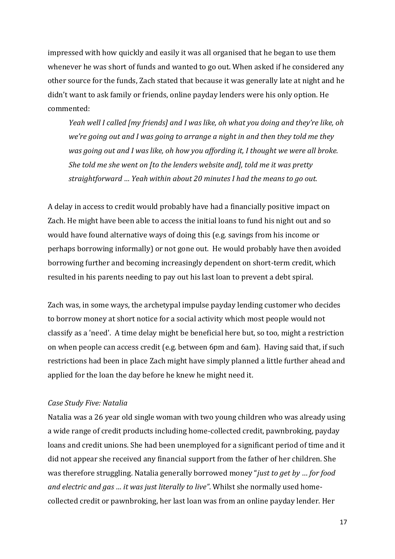impressed with how quickly and easily it was all organised that he began to use them whenever he was short of funds and wanted to go out. When asked if he considered any other source for the funds, Zach stated that because it was generally late at night and he didn't want to ask family or friends, online payday lenders were his only option. He commented:

*Yeah well I called [my friends] and I was like, oh what you doing and they're like, oh we're going out and I was going to arrange a night in and then they told me they was going out and I was like, oh how you affording it, I thought we were all broke. She told me she went on [to the lenders website and], told me it was pretty straightforward … Yeah within about 20 minutes I had the means to go out.* 

A delay in access to credit would probably have had a financially positive impact on Zach. He might have been able to access the initial loans to fund his night out and so would have found alternative ways of doing this (e.g. savings from his income or perhaps borrowing informally) or not gone out. He would probably have then avoided borrowing further and becoming increasingly dependent on short-term credit, which resulted in his parents needing to pay out his last loan to prevent a debt spiral.

Zach was, in some ways, the archetypal impulse payday lending customer who decides to borrow money at short notice for a social activity which most people would not classify as a 'need'. A time delay might be beneficial here but, so too, might a restriction on when people can access credit (e.g. between 6pm and 6am). Having said that, if such restrictions had been in place Zach might have simply planned a little further ahead and applied for the loan the day before he knew he might need it.

#### *Case Study Five: Natalia*

Natalia was a 26 year old single woman with two young children who was already using a wide range of credit products including home-collected credit, pawnbroking, payday loans and credit unions. She had been unemployed for a significant period of time and it did not appear she received any financial support from the father of her children. She was therefore struggling. Natalia generally borrowed money "*just to get by* … *for food and electric and gas … it was just literally to live"*. Whilst she normally used homecollected credit or pawnbroking, her last loan was from an online payday lender. Her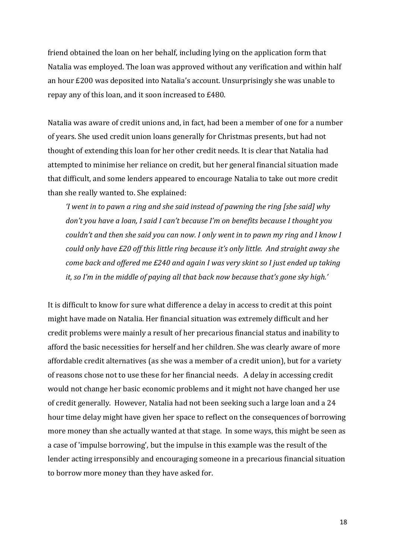friend obtained the loan on her behalf, including lying on the application form that Natalia was employed. The loan was approved without any verification and within half an hour £200 was deposited into Natalia's account. Unsurprisingly she was unable to repay any of this loan, and it soon increased to £480.

Natalia was aware of credit unions and, in fact, had been a member of one for a number of years. She used credit union loans generally for Christmas presents, but had not thought of extending this loan for her other credit needs. It is clear that Natalia had attempted to minimise her reliance on credit, but her general financial situation made that difficult, and some lenders appeared to encourage Natalia to take out more credit than she really wanted to. She explained:

*'I went in to pawn a ring and she said instead of pawning the ring [she said] why don't you have a loan, I said I can't because I'm on benefits because I thought you couldn't and then she said you can now. I only went in to pawn my ring and I know I could only have £20 off this little ring because it's only little. And straight away she come back and offered me £240 and again I was very skint so I just ended up taking it, so I'm in the middle of paying all that back now because that's gone sky high.'*

It is difficult to know for sure what difference a delay in access to credit at this point might have made on Natalia. Her financial situation was extremely difficult and her credit problems were mainly a result of her precarious financial status and inability to afford the basic necessities for herself and her children. She was clearly aware of more affordable credit alternatives (as she was a member of a credit union), but for a variety of reasons chose not to use these for her financial needs. A delay in accessing credit would not change her basic economic problems and it might not have changed her use of credit generally. However, Natalia had not been seeking such a large loan and a 24 hour time delay might have given her space to reflect on the consequences of borrowing more money than she actually wanted at that stage. In some ways, this might be seen as a case of 'impulse borrowing', but the impulse in this example was the result of the lender acting irresponsibly and encouraging someone in a precarious financial situation to borrow more money than they have asked for.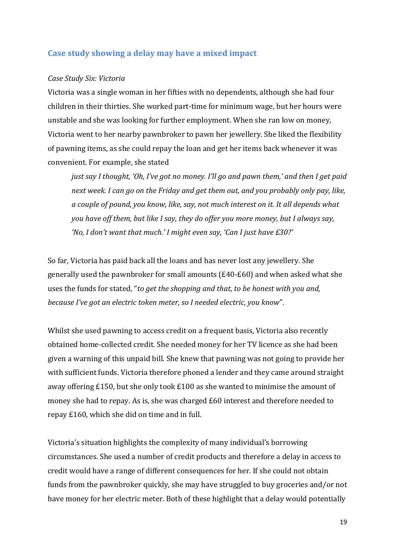#### <span id="page-19-0"></span>**Case study showing a delay may have a mixed impact**

#### *Case Study Six: Victoria*

Victoria was a single woman in her fifties with no dependents, although she had four children in their thirties. She worked part-time for minimum wage, but her hours were unstable and she was looking for further employment. When she ran low on money, Victoria went to her nearby pawnbroker to pawn her jewellery. She liked the flexibility of pawning items, as she could repay the loan and get her items back whenever it was convenient. For example, she stated

*just say I thought, 'Oh, I've got no money. I'll go and pawn them,' and then I get paid next week. I can go on the Friday and get them out, and you probably only pay, like, a couple of pound, you know, like, say, not much interest on it. It all depends what you have off them, but like I say, they do offer you more money, but I always say, 'No, I don't want that much.' I might even say, 'Can I just have £30?'*

So far, Victoria has paid back all the loans and has never lost any jewellery. She generally used the pawnbroker for small amounts (£40-£60) and when asked what she uses the funds for stated, "*to get the shopping and that, to be honest with you and, because I've got an electric token meter, so I needed electric, you know*".

Whilst she used pawning to access credit on a frequent basis, Victoria also recently obtained home-collected credit. She needed money for her TV licence as she had been given a warning of this unpaid bill. She knew that pawning was not going to provide her with sufficient funds. Victoria therefore phoned a lender and they came around straight away offering £150, but she only took £100 as she wanted to minimise the amount of money she had to repay. As is, she was charged £60 interest and therefore needed to repay £160, which she did on time and in full.

Victoria's situation highlights the complexity of many individual's borrowing circumstances. She used a number of credit products and therefore a delay in access to credit would have a range of different consequences for her. If she could not obtain funds from the pawnbroker quickly, she may have struggled to buy groceries and/or not have money for her electric meter. Both of these highlight that a delay would potentially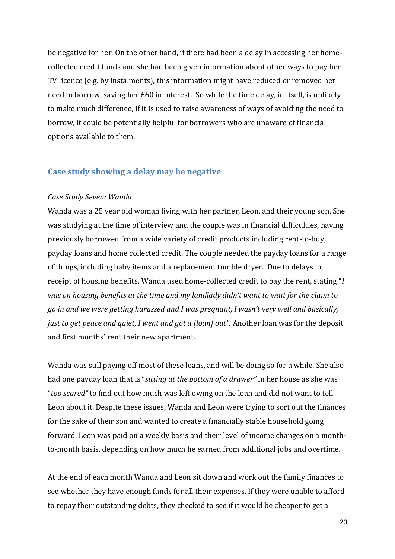be negative for her. On the other hand, if there had been a delay in accessing her homecollected credit funds and she had been given information about other ways to pay her TV licence (e.g. by instalments), this information might have reduced or removed her need to borrow, saving her £60 in interest. So while the time delay, in itself, is unlikely to make much difference, if it is used to raise awareness of ways of avoiding the need to borrow, it could be potentially helpful for borrowers who are unaware of financial options available to them.

#### <span id="page-20-0"></span>**Case study showing a delay may be negative**

#### *Case Study Seven: Wanda*

Wanda was a 25 year old woman living with her partner, Leon, and their young son. She was studying at the time of interview and the couple was in financial difficulties, having previously borrowed from a wide variety of credit products including rent-to-buy, payday loans and home collected credit. The couple needed the payday loans for a range of things, including baby items and a replacement tumble dryer. Due to delays in receipt of housing benefits, Wanda used home-collected credit to pay the rent, stating "*I was on housing benefits at the time and my landlady didn't want to wait for the claim to go in and we were getting harassed and I was pregnant, I wasn't very well and basically, just to get peace and quiet, I went and got a [loan] out".* Another loan was for the deposit and first months' rent their new apartment.

Wanda was still paying off most of these loans, and will be doing so for a while. She also had one payday loan that is "*sitting at the bottom of a drawer"* in her house as she was "*too scared"* to find out how much was left owing on the loan and did not want to tell Leon about it. Despite these issues, Wanda and Leon were trying to sort out the finances for the sake of their son and wanted to create a financially stable household going forward. Leon was paid on a weekly basis and their level of income changes on a monthto-month basis, depending on how much he earned from additional jobs and overtime.

At the end of each month Wanda and Leon sit down and work out the family finances to see whether they have enough funds for all their expenses. If they were unable to afford to repay their outstanding debts, they checked to see if it would be cheaper to get a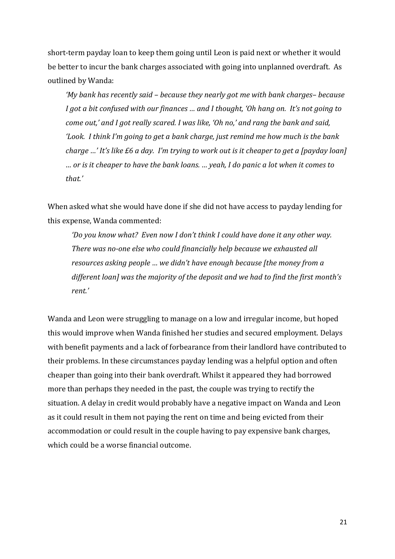short-term payday loan to keep them going until Leon is paid next or whether it would be better to incur the bank charges associated with going into unplanned overdraft. As outlined by Wanda:

*'My bank has recently said – because they nearly got me with bank charges– because I got a bit confused with our finances … and I thought, 'Oh hang on. It's not going to come out,' and I got really scared. I was like, 'Oh no,' and rang the bank and said, 'Look. I think I'm going to get a bank charge, just remind me how much is the bank charge …' It's like £6 a day. I'm trying to work out is it cheaper to get a [payday loan] … or is it cheaper to have the bank loans. … yeah, I do panic a lot when it comes to that.'*

When asked what she would have done if she did not have access to payday lending for this expense, Wanda commented:

*'Do you know what? Even now I don't think I could have done it any other way. There was no-one else who could financially help because we exhausted all resources asking people … we didn't have enough because [the money from a different loan] was the majority of the deposit and we had to find the first month's rent.'*

Wanda and Leon were struggling to manage on a low and irregular income, but hoped this would improve when Wanda finished her studies and secured employment. Delays with benefit payments and a lack of forbearance from their landlord have contributed to their problems. In these circumstances payday lending was a helpful option and often cheaper than going into their bank overdraft. Whilst it appeared they had borrowed more than perhaps they needed in the past, the couple was trying to rectify the situation. A delay in credit would probably have a negative impact on Wanda and Leon as it could result in them not paying the rent on time and being evicted from their accommodation or could result in the couple having to pay expensive bank charges, which could be a worse financial outcome.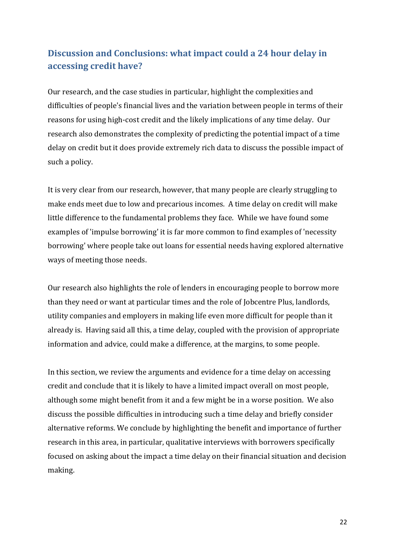## <span id="page-22-0"></span>**Discussion and Conclusions: what impact could a 24 hour delay in accessing credit have?**

Our research, and the case studies in particular, highlight the complexities and difficulties of people's financial lives and the variation between people in terms of their reasons for using high-cost credit and the likely implications of any time delay. Our research also demonstrates the complexity of predicting the potential impact of a time delay on credit but it does provide extremely rich data to discuss the possible impact of such a policy.

It is very clear from our research, however, that many people are clearly struggling to make ends meet due to low and precarious incomes. A time delay on credit will make little difference to the fundamental problems they face. While we have found some examples of 'impulse borrowing' it is far more common to find examples of 'necessity borrowing' where people take out loans for essential needs having explored alternative ways of meeting those needs.

Our research also highlights the role of lenders in encouraging people to borrow more than they need or want at particular times and the role of Jobcentre Plus, landlords, utility companies and employers in making life even more difficult for people than it already is. Having said all this, a time delay, coupled with the provision of appropriate information and advice, could make a difference, at the margins, to some people.

In this section, we review the arguments and evidence for a time delay on accessing credit and conclude that it is likely to have a limited impact overall on most people, although some might benefit from it and a few might be in a worse position. We also discuss the possible difficulties in introducing such a time delay and briefly consider alternative reforms. We conclude by highlighting the benefit and importance of further research in this area, in particular, qualitative interviews with borrowers specifically focused on asking about the impact a time delay on their financial situation and decision making.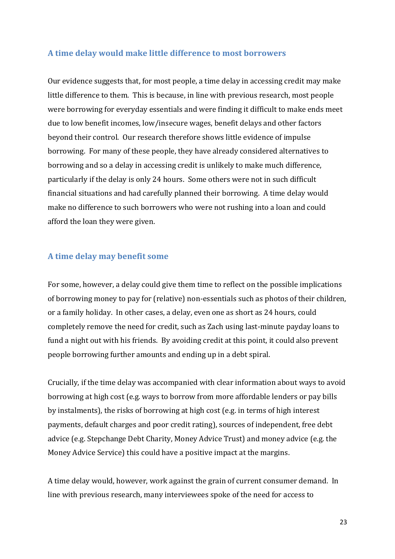#### <span id="page-23-0"></span>**A time delay would make little difference to most borrowers**

Our evidence suggests that, for most people, a time delay in accessing credit may make little difference to them. This is because, in line with previous research, most people were borrowing for everyday essentials and were finding it difficult to make ends meet due to low benefit incomes, low/insecure wages, benefit delays and other factors beyond their control. Our research therefore shows little evidence of impulse borrowing. For many of these people, they have already considered alternatives to borrowing and so a delay in accessing credit is unlikely to make much difference, particularly if the delay is only 24 hours. Some others were not in such difficult financial situations and had carefully planned their borrowing. A time delay would make no difference to such borrowers who were not rushing into a loan and could afford the loan they were given.

#### <span id="page-23-1"></span>**A time delay may benefit some**

For some, however, a delay could give them time to reflect on the possible implications of borrowing money to pay for (relative) non-essentials such as photos of their children, or a family holiday. In other cases, a delay, even one as short as 24 hours, could completely remove the need for credit, such as Zach using last-minute payday loans to fund a night out with his friends. By avoiding credit at this point, it could also prevent people borrowing further amounts and ending up in a debt spiral.

Crucially, if the time delay was accompanied with clear information about ways to avoid borrowing at high cost (e.g. ways to borrow from more affordable lenders or pay bills by instalments), the risks of borrowing at high cost (e.g. in terms of high interest payments, default charges and poor credit rating), sources of independent, free debt advice (e.g. Stepchange Debt Charity, Money Advice Trust) and money advice (e.g. the Money Advice Service) this could have a positive impact at the margins.

A time delay would, however, work against the grain of current consumer demand. In line with previous research, many interviewees spoke of the need for access to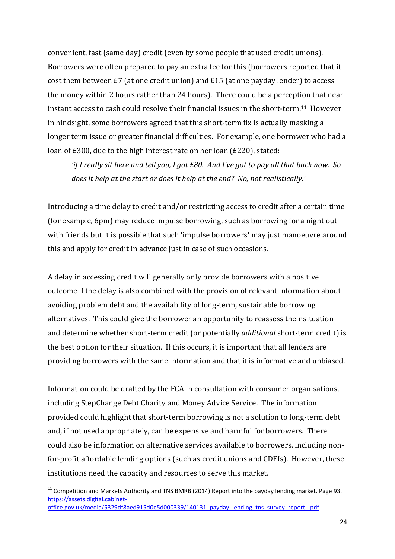convenient, fast (same day) credit (even by some people that used credit unions). Borrowers were often prepared to pay an extra fee for this (borrowers reported that it cost them between £7 (at one credit union) and £15 (at one payday lender) to access the money within 2 hours rather than 24 hours). There could be a perception that near instant access to cash could resolve their financial issues in the short-term. <sup>11</sup> However in hindsight, some borrowers agreed that this short-term fix is actually masking a longer term issue or greater financial difficulties. For example, one borrower who had a loan of £300, due to the high interest rate on her loan (£220), stated:

*'if I really sit here and tell you, I got £80. And I've got to pay all that back now. So does it help at the start or does it help at the end? No, not realistically.'*

Introducing a time delay to credit and/or restricting access to credit after a certain time (for example, 6pm) may reduce impulse borrowing, such as borrowing for a night out with friends but it is possible that such 'impulse borrowers' may just manoeuvre around this and apply for credit in advance just in case of such occasions.

A delay in accessing credit will generally only provide borrowers with a positive outcome if the delay is also combined with the provision of relevant information about avoiding problem debt and the availability of long-term, sustainable borrowing alternatives. This could give the borrower an opportunity to reassess their situation and determine whether short-term credit (or potentially *additional* short-term credit) is the best option for their situation. If this occurs, it is important that all lenders are providing borrowers with the same information and that it is informative and unbiased.

Information could be drafted by the FCA in consultation with consumer organisations, including StepChange Debt Charity and Money Advice Service. The information provided could highlight that short-term borrowing is not a solution to long-term debt and, if not used appropriately, can be expensive and harmful for borrowers. There could also be information on alternative services available to borrowers, including nonfor-profit affordable lending options (such as credit unions and CDFIs). However, these institutions need the capacity and resources to serve this market.

**.** 

 $11$  Competition and Markets Authority and TNS BMRB (2014) Report into the payday lending market. Page 93. [https://assets.digital.cabinet](https://assets.digital.cabinet-office.gov.uk/media/5329df8aed915d0e5d000339/140131_payday_lending_tns_survey_report_.pdf)[office.gov.uk/media/5329df8aed915d0e5d000339/140131\\_payday\\_lending\\_tns\\_survey\\_report\\_.pdf](https://assets.digital.cabinet-office.gov.uk/media/5329df8aed915d0e5d000339/140131_payday_lending_tns_survey_report_.pdf)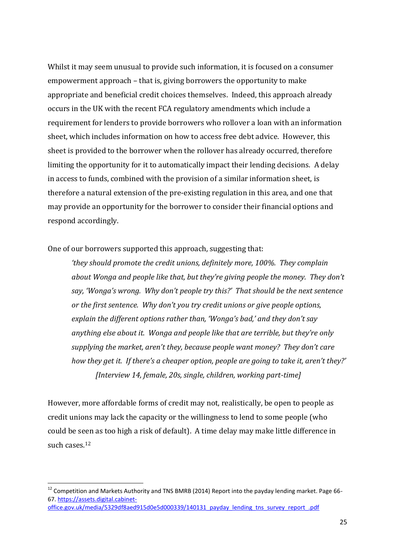Whilst it may seem unusual to provide such information, it is focused on a consumer empowerment approach – that is, giving borrowers the opportunity to make appropriate and beneficial credit choices themselves. Indeed, this approach already occurs in the UK with the recent FCA regulatory amendments which include a requirement for lenders to provide borrowers who rollover a loan with an information sheet, which includes information on how to access free debt advice. However, this sheet is provided to the borrower when the rollover has already occurred, therefore limiting the opportunity for it to automatically impact their lending decisions. A delay in access to funds, combined with the provision of a similar information sheet, is therefore a natural extension of the pre-existing regulation in this area, and one that may provide an opportunity for the borrower to consider their financial options and respond accordingly.

One of our borrowers supported this approach, suggesting that:

*'they should promote the credit unions, definitely more, 100%. They complain about Wonga and people like that, but they're giving people the money. They don't say, 'Wonga's wrong. Why don't people try this?' That should be the next sentence or the first sentence. Why don't you try credit unions or give people options, explain the different options rather than, 'Wonga's bad,' and they don't say anything else about it. Wonga and people like that are terrible, but they're only supplying the market, aren't they, because people want money? They don't care how they get it. If there's a cheaper option, people are going to take it, aren't they?' [Interview 14, female, 20s, single, children, working part-time]*

However, more affordable forms of credit may not, realistically, be open to people as credit unions may lack the capacity or the willingness to lend to some people (who could be seen as too high a risk of default). A time delay may make little difference in such cases.<sup>12</sup>

**.** 

<sup>&</sup>lt;sup>12</sup> Competition and Markets Authority and TNS BMRB (2014) Report into the payday lending market. Page 66-67. [https://assets.digital.cabinet](https://assets.digital.cabinet-office.gov.uk/media/5329df8aed915d0e5d000339/140131_payday_lending_tns_survey_report_.pdf)[office.gov.uk/media/5329df8aed915d0e5d000339/140131\\_payday\\_lending\\_tns\\_survey\\_report\\_.pdf](https://assets.digital.cabinet-office.gov.uk/media/5329df8aed915d0e5d000339/140131_payday_lending_tns_survey_report_.pdf)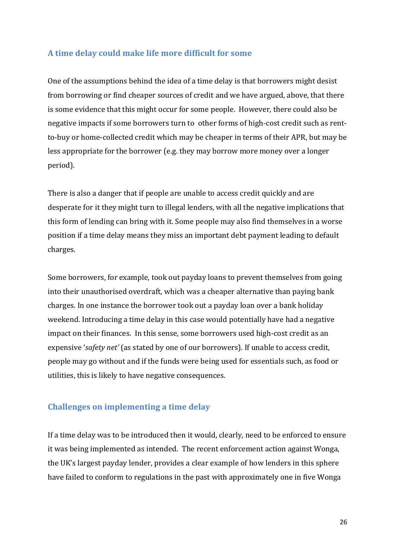#### <span id="page-26-0"></span>**A time delay could make life more difficult for some**

One of the assumptions behind the idea of a time delay is that borrowers might desist from borrowing or find cheaper sources of credit and we have argued, above, that there is some evidence that this might occur for some people. However, there could also be negative impacts if some borrowers turn to other forms of high-cost credit such as rentto-buy or home-collected credit which may be cheaper in terms of their APR, but may be less appropriate for the borrower (e.g. they may borrow more money over a longer period).

There is also a danger that if people are unable to access credit quickly and are desperate for it they might turn to illegal lenders, with all the negative implications that this form of lending can bring with it. Some people may also find themselves in a worse position if a time delay means they miss an important debt payment leading to default charges.

Some borrowers, for example, took out payday loans to prevent themselves from going into their unauthorised overdraft, which was a cheaper alternative than paying bank charges. In one instance the borrower took out a payday loan over a bank holiday weekend. Introducing a time delay in this case would potentially have had a negative impact on their finances. In this sense, some borrowers used high-cost credit as an expensive '*safety net'* (as stated by one of our borrowers). If unable to access credit, people may go without and if the funds were being used for essentials such, as food or utilities, this is likely to have negative consequences.

#### <span id="page-26-1"></span>**Challenges on implementing a time delay**

If a time delay was to be introduced then it would, clearly, need to be enforced to ensure it was being implemented as intended. The recent enforcement action against Wonga, the UK's largest payday lender, provides a clear example of how lenders in this sphere have failed to conform to regulations in the past with approximately one in five Wonga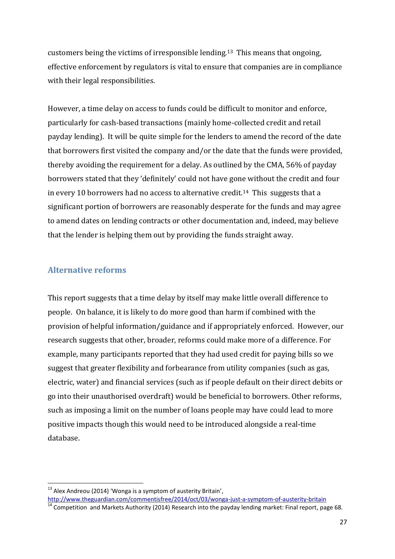customers being the victims of irresponsible lending.<sup>13</sup> This means that ongoing, effective enforcement by regulators is vital to ensure that companies are in compliance with their legal responsibilities.

However, a time delay on access to funds could be difficult to monitor and enforce, particularly for cash-based transactions (mainly home-collected credit and retail payday lending). It will be quite simple for the lenders to amend the record of the date that borrowers first visited the company and/or the date that the funds were provided, thereby avoiding the requirement for a delay. As outlined by the CMA, 56% of payday borrowers stated that they 'definitely' could not have gone without the credit and four in every 10 borrowers had no access to alternative credit. <sup>14</sup> This suggests that a significant portion of borrowers are reasonably desperate for the funds and may agree to amend dates on lending contracts or other documentation and, indeed, may believe that the lender is helping them out by providing the funds straight away.

#### <span id="page-27-0"></span>**Alternative reforms**

**.** 

This report suggests that a time delay by itself may make little overall difference to people. On balance, it is likely to do more good than harm if combined with the provision of helpful information/guidance and if appropriately enforced. However, our research suggests that other, broader, reforms could make more of a difference. For example, many participants reported that they had used credit for paying bills so we suggest that greater flexibility and forbearance from utility companies (such as gas, electric, water) and financial services (such as if people default on their direct debits or go into their unauthorised overdraft) would be beneficial to borrowers. Other reforms, such as imposing a limit on the number of loans people may have could lead to more positive impacts though this would need to be introduced alongside a real-time database.

 $^{13}$  Alex Andreou (2014) 'Wonga is a symptom of austerity Britain',

<http://www.theguardian.com/commentisfree/2014/oct/03/wonga-just-a-symptom-of-austerity-britain>

 $\frac{1}{14}$  Competition and Markets Authority (2014) Research into the payday lending market: Final report, page 68.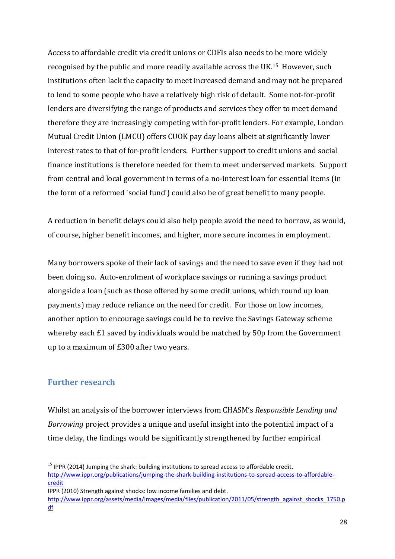Access to affordable credit via credit unions or CDFIs also needs to be more widely recognised by the public and more readily available across the UK. <sup>15</sup> However, such institutions often lack the capacity to meet increased demand and may not be prepared to lend to some people who have a relatively high risk of default. Some not-for-profit lenders are diversifying the range of products and services they offer to meet demand therefore they are increasingly competing with for-profit lenders. For example, London Mutual Credit Union (LMCU) offers CUOK pay day loans albeit at significantly lower interest rates to that of for-profit lenders. Further support to credit unions and social finance institutions is therefore needed for them to meet underserved markets. Support from central and local government in terms of a no-interest loan for essential items (in the form of a reformed 'social fund') could also be of great benefit to many people.

A reduction in benefit delays could also help people avoid the need to borrow, as would, of course, higher benefit incomes, and higher, more secure incomes in employment.

Many borrowers spoke of their lack of savings and the need to save even if they had not been doing so. Auto-enrolment of workplace savings or running a savings product alongside a loan (such as those offered by some credit unions, which round up loan payments) may reduce reliance on the need for credit. For those on low incomes, another option to encourage savings could be to revive the Savings Gateway scheme whereby each £1 saved by individuals would be matched by 50p from the Government up to a maximum of £300 after two years.

#### <span id="page-28-0"></span>**Further research**

**.** 

Whilst an analysis of the borrower interviews from CHASM's *Responsible Lending and Borrowing* project provides a unique and useful insight into the potential impact of a time delay, the findings would be significantly strengthened by further empirical

 $<sup>15</sup>$  IPPR (2014) Jumping the shark: building institutions to spread access to affordable credit.</sup>

[http://www.ippr.org/publications/jumping-the-shark-building-institutions-to-spread-access-to-affordable](http://www.ippr.org/publications/jumping-the-shark-building-institutions-to-spread-access-to-affordable-credit)[credit](http://www.ippr.org/publications/jumping-the-shark-building-institutions-to-spread-access-to-affordable-credit)

IPPR (2010) Strength against shocks: low income families and debt.

[http://www.ippr.org/assets/media/images/media/files/publication/2011/05/strength\\_against\\_shocks\\_1750.p](http://www.ippr.org/assets/media/images/media/files/publication/2011/05/strength_against_shocks_1750.pdf) [df](http://www.ippr.org/assets/media/images/media/files/publication/2011/05/strength_against_shocks_1750.pdf)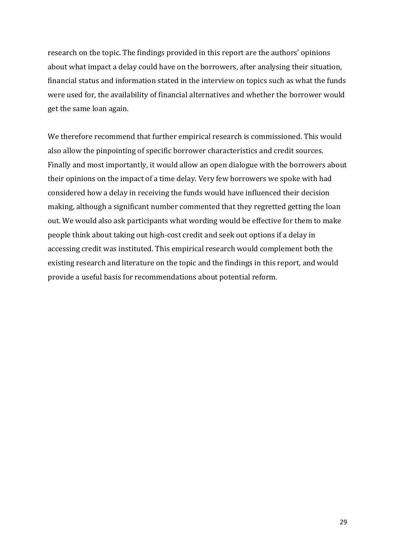research on the topic. The findings provided in this report are the authors' opinions about what impact a delay could have on the borrowers, after analysing their situation, financial status and information stated in the interview on topics such as what the funds were used for, the availability of financial alternatives and whether the borrower would get the same loan again.

We therefore recommend that further empirical research is commissioned. This would also allow the pinpointing of specific borrower characteristics and credit sources. Finally and most importantly, it would allow an open dialogue with the borrowers about their opinions on the impact of a time delay. Very few borrowers we spoke with had considered how a delay in receiving the funds would have influenced their decision making, although a significant number commented that they regretted getting the loan out. We would also ask participants what wording would be effective for them to make people think about taking out high-cost credit and seek out options if a delay in accessing credit was instituted. This empirical research would complement both the existing research and literature on the topic and the findings in this report, and would provide a useful basis for recommendations about potential reform.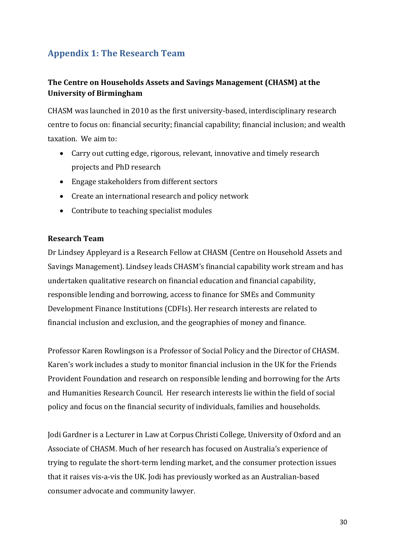## <span id="page-30-0"></span>**Appendix 1: The Research Team**

### **The Centre on Households Assets and Savings Management (CHASM) at the University of Birmingham**

CHASM was launched in 2010 as the first university-based, interdisciplinary research centre to focus on: financial security; financial capability; financial inclusion; and wealth taxation. We aim to:

- Carry out cutting edge, rigorous, relevant, innovative and timely research projects and PhD research
- Engage stakeholders from different sectors
- Create an international research and policy network
- Contribute to teaching specialist modules

#### **Research Team**

Dr Lindsey Appleyard is a Research Fellow at CHASM (Centre on Household Assets and Savings Management). Lindsey leads CHASM's financial capability work stream and has undertaken qualitative research on financial education and financial capability, responsible lending and borrowing, access to finance for SMEs and Community Development Finance Institutions (CDFIs). Her research interests are related to financial inclusion and exclusion, and the geographies of money and finance.

Professor Karen Rowlingson is a Professor of Social Policy and the Director of CHASM. Karen's work includes a study to monitor financial inclusion in the UK for the Friends Provident Foundation and research on responsible lending and borrowing for the Arts and Humanities Research Council. Her research interests lie within the field of social policy and focus on the financial security of individuals, families and households.

Jodi Gardner is a Lecturer in Law at Corpus Christi College, University of Oxford and an Associate of CHASM. Much of her research has focused on Australia's experience of trying to regulate the short-term lending market, and the consumer protection issues that it raises vis-a-vis the UK. Jodi has previously worked as an Australian-based consumer advocate and community lawyer.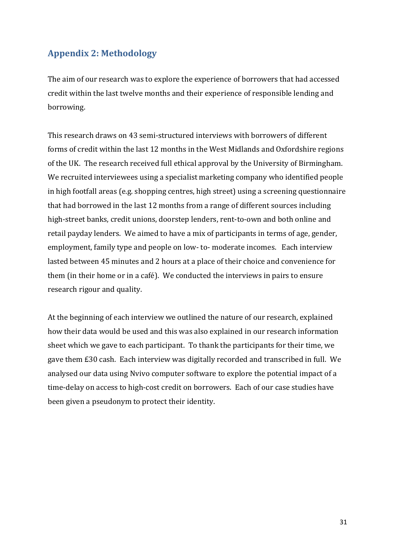## <span id="page-31-0"></span>**Appendix 2: Methodology**

The aim of our research was to explore the experience of borrowers that had accessed credit within the last twelve months and their experience of responsible lending and borrowing.

This research draws on 43 semi-structured interviews with borrowers of different forms of credit within the last 12 months in the West Midlands and Oxfordshire regions of the UK. The research received full ethical approval by the University of Birmingham. We recruited interviewees using a specialist marketing company who identified people in high footfall areas (e.g. shopping centres, high street) using a screening questionnaire that had borrowed in the last 12 months from a range of different sources including high-street banks, credit unions, doorstep lenders, rent-to-own and both online and retail payday lenders. We aimed to have a mix of participants in terms of age, gender, employment, family type and people on low- to- moderate incomes. Each interview lasted between 45 minutes and 2 hours at a place of their choice and convenience for them (in their home or in a café). We conducted the interviews in pairs to ensure research rigour and quality.

At the beginning of each interview we outlined the nature of our research, explained how their data would be used and this was also explained in our research information sheet which we gave to each participant. To thank the participants for their time, we gave them £30 cash. Each interview was digitally recorded and transcribed in full. We analysed our data using Nvivo computer software to explore the potential impact of a time-delay on access to high-cost credit on borrowers. Each of our case studies have been given a pseudonym to protect their identity.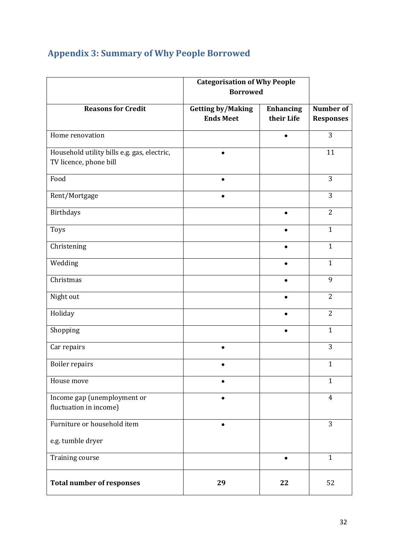|                                                                       | <b>Categorisation of Why People</b><br><b>Borrowed</b> |                                |                                      |
|-----------------------------------------------------------------------|--------------------------------------------------------|--------------------------------|--------------------------------------|
| <b>Reasons for Credit</b>                                             | <b>Getting by/Making</b><br><b>Ends Meet</b>           | <b>Enhancing</b><br>their Life | <b>Number of</b><br><b>Responses</b> |
| Home renovation                                                       |                                                        |                                | 3                                    |
| Household utility bills e.g. gas, electric,<br>TV licence, phone bill |                                                        |                                | 11                                   |
| Food                                                                  |                                                        |                                | 3                                    |
| Rent/Mortgage                                                         | $\bullet$                                              |                                | 3                                    |
| <b>Birthdays</b>                                                      |                                                        | $\bullet$                      | $\overline{2}$                       |
| Toys                                                                  |                                                        |                                | $\mathbf{1}$                         |
| Christening                                                           |                                                        |                                | $\mathbf{1}$                         |
| Wedding                                                               |                                                        |                                | $\mathbf{1}$                         |
| Christmas                                                             |                                                        |                                | 9                                    |
| Night out                                                             |                                                        |                                | $\overline{2}$                       |
| Holiday                                                               |                                                        |                                | $\overline{2}$                       |
| Shopping                                                              |                                                        |                                | $\mathbf{1}$                         |
| Car repairs                                                           | $\bullet$                                              |                                | 3                                    |
| <b>Boiler repairs</b>                                                 |                                                        |                                | $\mathbf{1}$                         |
| House move                                                            |                                                        |                                | $\mathbf{1}$                         |
| Income gap (unemployment or<br>fluctuation in income)                 |                                                        |                                | $\overline{4}$                       |
| Furniture or household item                                           | $\bullet$                                              |                                | 3                                    |
| e.g. tumble dryer                                                     |                                                        |                                |                                      |
| <b>Training course</b>                                                |                                                        |                                | $\mathbf{1}$                         |
| <b>Total number of responses</b>                                      | 29                                                     | 22                             | 52                                   |

## <span id="page-32-0"></span>**Appendix 3: Summary of Why People Borrowed**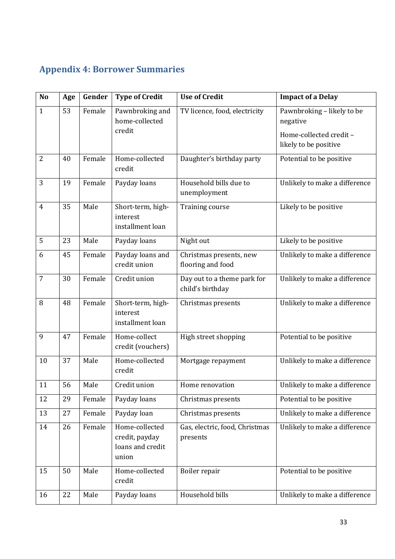## <span id="page-33-0"></span>**Appendix 4: Borrower Summaries**

| N <sub>o</sub> | Age | Gender | <b>Type of Credit</b>                                         | <b>Use of Credit</b>                            | <b>Impact of a Delay</b>                         |
|----------------|-----|--------|---------------------------------------------------------------|-------------------------------------------------|--------------------------------------------------|
| $\mathbf{1}$   | 53  | Female | Pawnbroking and<br>home-collected                             | TV licence, food, electricity                   | Pawnbroking - likely to be<br>negative           |
|                |     |        | credit                                                        |                                                 | Home-collected credit -<br>likely to be positive |
| $\overline{2}$ | 40  | Female | Home-collected<br>credit                                      | Daughter's birthday party                       | Potential to be positive                         |
| 3              | 19  | Female | Payday loans                                                  | Household bills due to<br>unemployment          | Unlikely to make a difference                    |
| $\overline{4}$ | 35  | Male   | Short-term, high-<br>interest<br>installment loan             | Training course                                 | Likely to be positive                            |
| 5              | 23  | Male   | Payday loans                                                  | Night out                                       | Likely to be positive                            |
| 6              | 45  | Female | Payday loans and<br>credit union                              | Christmas presents, new<br>flooring and food    | Unlikely to make a difference                    |
| $\overline{7}$ | 30  | Female | Credit union                                                  | Day out to a theme park for<br>child's birthday | Unlikely to make a difference                    |
| 8              | 48  | Female | Short-term, high-<br>interest<br>installment loan             | Christmas presents                              | Unlikely to make a difference                    |
| 9              | 47  | Female | Home-collect<br>credit (vouchers)                             | High street shopping                            | Potential to be positive                         |
| 10             | 37  | Male   | Home-collected<br>credit                                      | Mortgage repayment                              | Unlikely to make a difference                    |
| 11             | 56  | Male   | Credit union                                                  | Home renovation                                 | Unlikely to make a difference                    |
| 12             | 29  | Female | Payday loans                                                  | Christmas presents                              | Potential to be positive                         |
| 13             | 27  | Female | Payday loan                                                   | Christmas presents                              | Unlikely to make a difference                    |
| 14             | 26  | Female | Home-collected<br>credit, payday<br>loans and credit<br>union | Gas, electric, food, Christmas<br>presents      | Unlikely to make a difference                    |
| 15             | 50  | Male   | Home-collected<br>credit                                      | Boiler repair                                   | Potential to be positive                         |
| 16             | 22  | Male   | Payday loans                                                  | Household bills                                 | Unlikely to make a difference                    |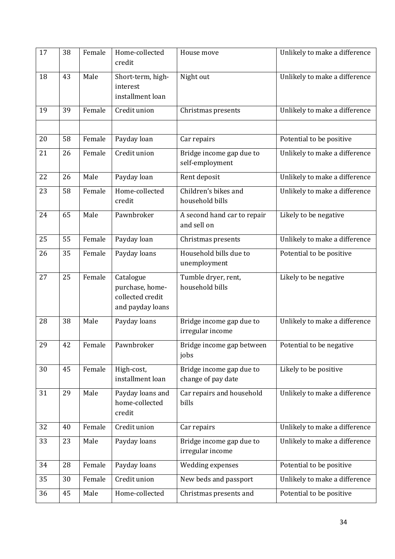| 17 | 38 | Female | Home-collected<br>credit                                             | House move                                     | Unlikely to make a difference |
|----|----|--------|----------------------------------------------------------------------|------------------------------------------------|-------------------------------|
| 18 | 43 | Male   | Short-term, high-<br>interest<br>installment loan                    | Night out                                      | Unlikely to make a difference |
| 19 | 39 | Female | Credit union                                                         | Christmas presents                             | Unlikely to make a difference |
|    |    |        |                                                                      |                                                |                               |
| 20 | 58 | Female | Payday loan                                                          | Car repairs                                    | Potential to be positive      |
| 21 | 26 | Female | Credit union                                                         | Bridge income gap due to<br>self-employment    | Unlikely to make a difference |
| 22 | 26 | Male   | Payday loan                                                          | Rent deposit                                   | Unlikely to make a difference |
| 23 | 58 | Female | Home-collected<br>credit                                             | Children's bikes and<br>household bills        | Unlikely to make a difference |
| 24 | 65 | Male   | Pawnbroker                                                           | A second hand car to repair<br>and sell on     | Likely to be negative         |
| 25 | 55 | Female | Payday loan                                                          | Christmas presents                             | Unlikely to make a difference |
| 26 | 35 | Female | Payday loans                                                         | Household bills due to<br>unemployment         | Potential to be positive      |
| 27 | 25 | Female | Catalogue<br>purchase, home-<br>collected credit<br>and payday loans | Tumble dryer, rent,<br>household bills         | Likely to be negative         |
| 28 | 38 | Male   | Payday loans                                                         | Bridge income gap due to<br>irregular income   | Unlikely to make a difference |
| 29 | 42 | Female | Pawnbroker                                                           | Bridge income gap between<br>jobs              | Potential to be negative      |
| 30 | 45 | Female | High-cost,<br>installment loan                                       | Bridge income gap due to<br>change of pay date | Likely to be positive         |
| 31 | 29 | Male   | Payday loans and<br>home-collected<br>credit                         | Car repairs and household<br>bills             | Unlikely to make a difference |
| 32 | 40 | Female | Credit union                                                         | Car repairs                                    | Unlikely to make a difference |
| 33 | 23 | Male   | Payday loans                                                         | Bridge income gap due to<br>irregular income   | Unlikely to make a difference |
| 34 | 28 | Female | Payday loans                                                         | Wedding expenses                               | Potential to be positive      |
| 35 | 30 | Female | Credit union                                                         | New beds and passport                          | Unlikely to make a difference |
| 36 | 45 | Male   | Home-collected                                                       | Christmas presents and                         | Potential to be positive      |